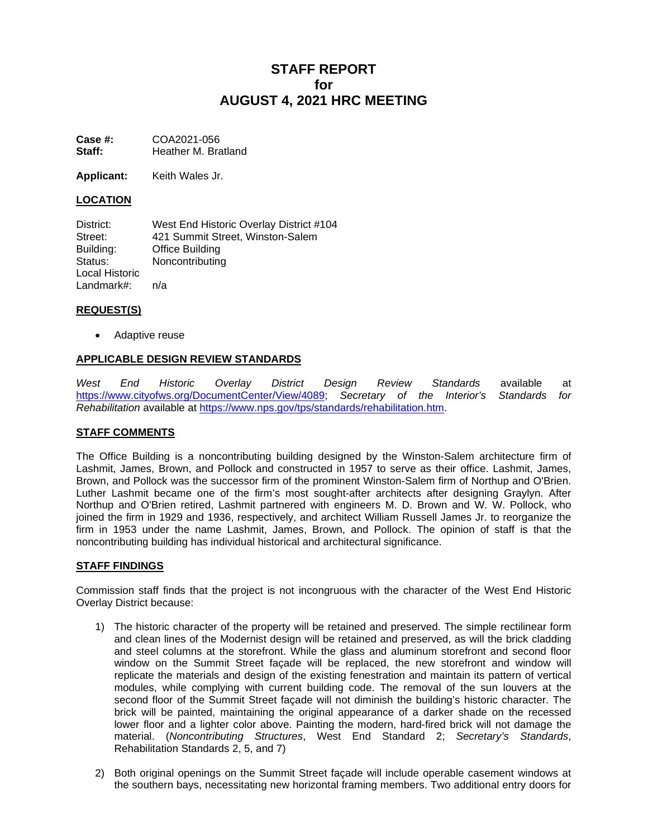# **STAFF REPORT for AUGUST 4, 2021 HRC MEETING**

**Case #:** COA2021-056<br>**Staff:** Heather M. Bra **Staff:** Heather M. Bratland

**Applicant:** Keith Wales Jr.

# **LOCATION**

District: West End Historic Overlay District #104 Street: 421 Summit Street, Winston-Salem Building: Office Building Status: Noncontributing Local Historic Landmark#: n/a

## **REQUEST(S)**

• Adaptive reuse

## **APPLICABLE DESIGN REVIEW STANDARDS**

*West End Historic Overlay District Design Review Standards* available at [https://www.cityofws.org/DocumentCenter/View/4089;](https://www.cityofws.org/DocumentCenter/View/4089) *Secretary of the Interior's Standards for Rehabilitation* available at [https://www.nps.gov/tps/standards/rehabilitation.htm.](https://www.nps.gov/tps/standards/rehabilitation.htm)

#### **STAFF COMMENTS**

The Office Building is a noncontributing building designed by the Winston-Salem architecture firm of Lashmit, James, Brown, and Pollock and constructed in 1957 to serve as their office. Lashmit, James, Brown, and Pollock was the successor firm of the prominent Winston-Salem firm of Northup and O'Brien. Luther Lashmit became one of the firm's most sought-after architects after designing Graylyn. After Northup and O'Brien retired, Lashmit partnered with engineers M. D. Brown and W. W. Pollock, who joined the firm in 1929 and 1936, respectively, and architect William Russell James Jr. to reorganize the firm in 1953 under the name Lashmit, James, Brown, and Pollock. The opinion of staff is that the noncontributing building has individual historical and architectural significance.

#### **STAFF FINDINGS**

Commission staff finds that the project is not incongruous with the character of the West End Historic Overlay District because:

- 1) The historic character of the property will be retained and preserved. The simple rectilinear form and clean lines of the Modernist design will be retained and preserved, as will the brick cladding and steel columns at the storefront. While the glass and aluminum storefront and second floor window on the Summit Street façade will be replaced, the new storefront and window will replicate the materials and design of the existing fenestration and maintain its pattern of vertical modules, while complying with current building code. The removal of the sun louvers at the second floor of the Summit Street façade will not diminish the building's historic character. The brick will be painted, maintaining the original appearance of a darker shade on the recessed lower floor and a lighter color above. Painting the modern, hard-fired brick will not damage the material. (*Noncontributing Structures*, West End Standard 2; *Secretary's Standards*, Rehabilitation Standards 2, 5, and 7)
- 2) Both original openings on the Summit Street façade will include operable casement windows at the southern bays, necessitating new horizontal framing members. Two additional entry doors for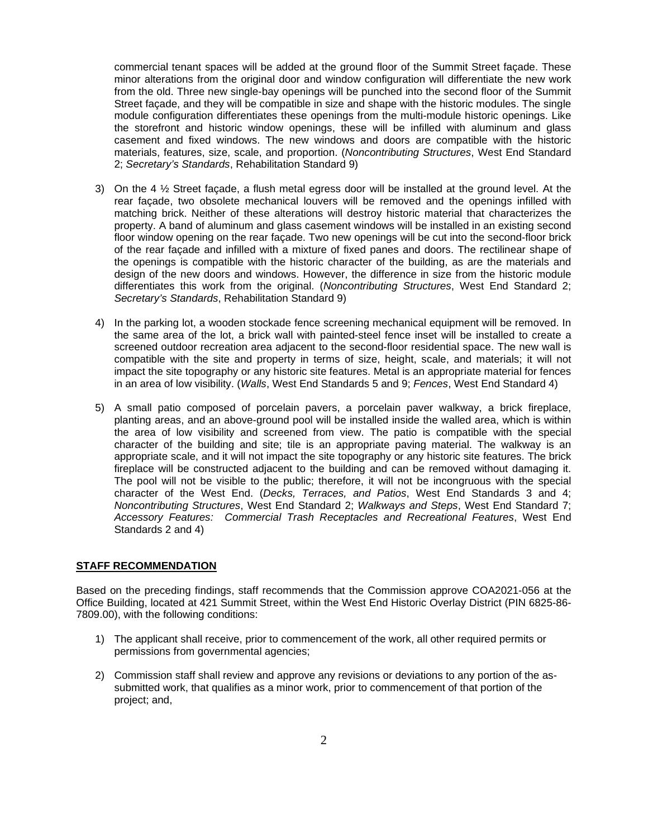commercial tenant spaces will be added at the ground floor of the Summit Street façade. These minor alterations from the original door and window configuration will differentiate the new work from the old. Three new single-bay openings will be punched into the second floor of the Summit Street façade, and they will be compatible in size and shape with the historic modules. The single module configuration differentiates these openings from the multi-module historic openings. Like the storefront and historic window openings, these will be infilled with aluminum and glass casement and fixed windows. The new windows and doors are compatible with the historic materials, features, size, scale, and proportion. (*Noncontributing Structures*, West End Standard 2; *Secretary's Standards*, Rehabilitation Standard 9)

- 3) On the 4 ½ Street façade, a flush metal egress door will be installed at the ground level. At the rear façade, two obsolete mechanical louvers will be removed and the openings infilled with matching brick. Neither of these alterations will destroy historic material that characterizes the property. A band of aluminum and glass casement windows will be installed in an existing second floor window opening on the rear façade. Two new openings will be cut into the second-floor brick of the rear façade and infilled with a mixture of fixed panes and doors. The rectilinear shape of the openings is compatible with the historic character of the building, as are the materials and design of the new doors and windows. However, the difference in size from the historic module differentiates this work from the original. (*Noncontributing Structures*, West End Standard 2; *Secretary's Standards*, Rehabilitation Standard 9)
- 4) In the parking lot, a wooden stockade fence screening mechanical equipment will be removed. In the same area of the lot, a brick wall with painted-steel fence inset will be installed to create a screened outdoor recreation area adjacent to the second-floor residential space. The new wall is compatible with the site and property in terms of size, height, scale, and materials; it will not impact the site topography or any historic site features. Metal is an appropriate material for fences in an area of low visibility. (*Walls*, West End Standards 5 and 9; *Fences*, West End Standard 4)
- 5) A small patio composed of porcelain pavers, a porcelain paver walkway, a brick fireplace, planting areas, and an above-ground pool will be installed inside the walled area, which is within the area of low visibility and screened from view. The patio is compatible with the special character of the building and site; tile is an appropriate paving material. The walkway is an appropriate scale, and it will not impact the site topography or any historic site features. The brick fireplace will be constructed adjacent to the building and can be removed without damaging it. The pool will not be visible to the public; therefore, it will not be incongruous with the special character of the West End. (*Decks, Terraces, and Patios*, West End Standards 3 and 4; *Noncontributing Structures*, West End Standard 2; *Walkways and Steps*, West End Standard 7; *Accessory Features: Commercial Trash Receptacles and Recreational Features*, West End Standards 2 and 4)

#### **STAFF RECOMMENDATION**

Based on the preceding findings, staff recommends that the Commission approve COA2021-056 at the Office Building, located at 421 Summit Street, within the West End Historic Overlay District (PIN 6825-86- 7809.00), with the following conditions:

- 1) The applicant shall receive, prior to commencement of the work, all other required permits or permissions from governmental agencies;
- 2) Commission staff shall review and approve any revisions or deviations to any portion of the assubmitted work, that qualifies as a minor work, prior to commencement of that portion of the project; and,